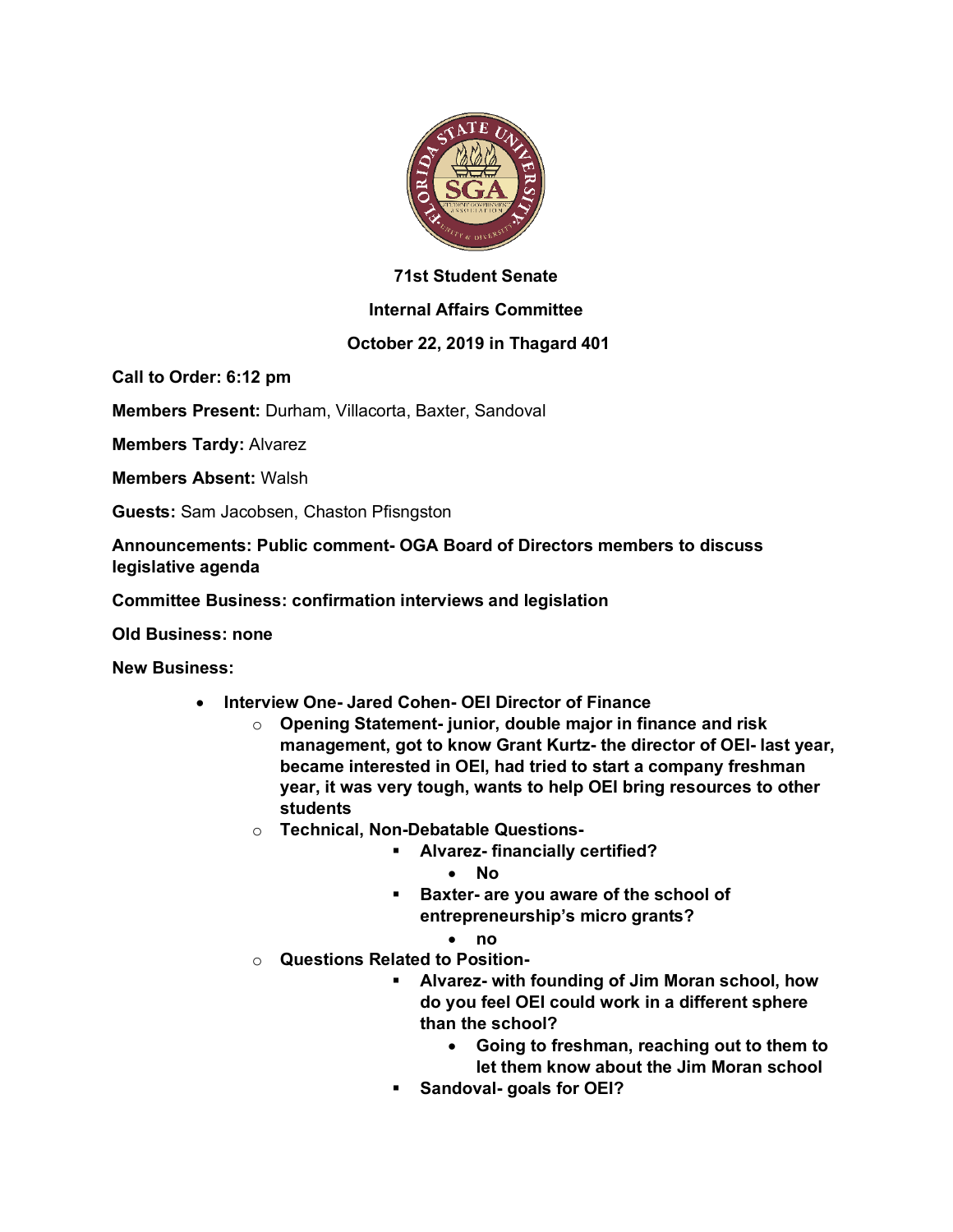

## **71st Student Senate**

## **Internal Affairs Committee**

## **October 22, 2019 in Thagard 401**

**Call to Order: 6:12 pm**

**Members Present:** Durham, Villacorta, Baxter, Sandoval

**Members Tardy:** Alvarez

**Members Absent:** Walsh

**Guests:** Sam Jacobsen, Chaston Pfisngston

**Announcements: Public comment- OGA Board of Directors members to discuss legislative agenda**

**Committee Business: confirmation interviews and legislation**

**Old Business: none**

**New Business:**

- **Interview One- Jared Cohen- OEI Director of Finance**
	- o **Opening Statement- junior, double major in finance and risk management, got to know Grant Kurtz- the director of OEI- last year, became interested in OEI, had tried to start a company freshman year, it was very tough, wants to help OEI bring resources to other students**
	- o **Technical, Non-Debatable Questions-**
		- § **Alvarez- financially certified?**
			- **No**
		- § **Baxter- are you aware of the school of entrepreneurship's micro grants?**
			- **no**
	- o **Questions Related to Position-**
		- § **Alvarez- with founding of Jim Moran school, how do you feel OEI could work in a different sphere than the school?**
			- **Going to freshman, reaching out to them to let them know about the Jim Moran school**
		- § **Sandoval- goals for OEI?**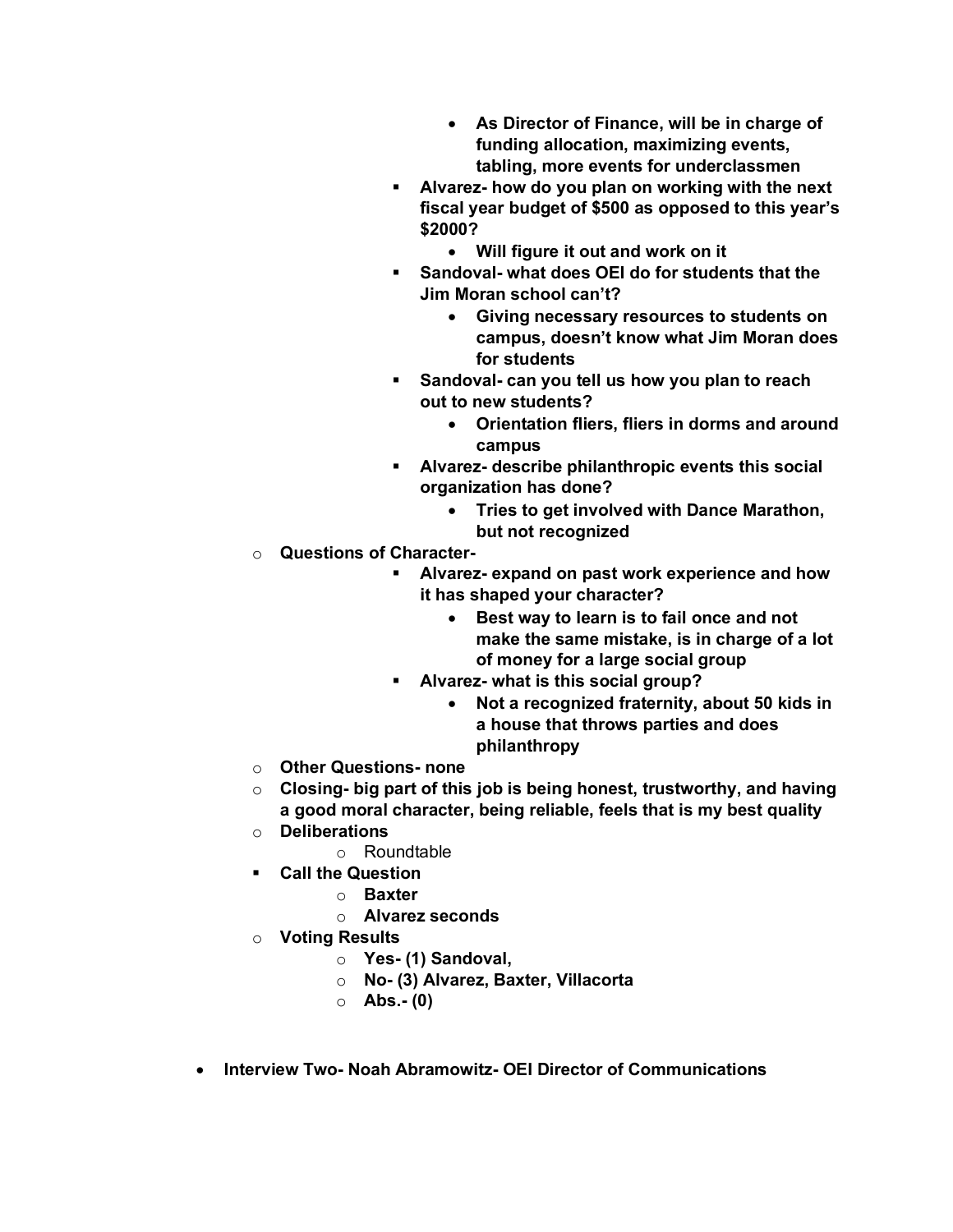- **As Director of Finance, will be in charge of funding allocation, maximizing events, tabling, more events for underclassmen**
- § **Alvarez- how do you plan on working with the next fiscal year budget of \$500 as opposed to this year's \$2000?**
	- **Will figure it out and work on it**
- § **Sandoval- what does OEI do for students that the Jim Moran school can't?**
	- **Giving necessary resources to students on campus, doesn't know what Jim Moran does for students**
- § **Sandoval- can you tell us how you plan to reach out to new students?**
	- **Orientation fliers, fliers in dorms and around campus**
- § **Alvarez- describe philanthropic events this social organization has done?**
	- **Tries to get involved with Dance Marathon, but not recognized**
- o **Questions of Character-**
	- § **Alvarez- expand on past work experience and how it has shaped your character?**
		- **Best way to learn is to fail once and not make the same mistake, is in charge of a lot of money for a large social group**
	- § **Alvarez- what is this social group?**
		- **Not a recognized fraternity, about 50 kids in a house that throws parties and does philanthropy**
- o **Other Questions- none**
- o **Closing- big part of this job is being honest, trustworthy, and having a good moral character, being reliable, feels that is my best quality**
- o **Deliberations**
	- o Roundtable
- § **Call the Question**
	- o **Baxter**
	- o **Alvarez seconds**
- o **Voting Results**
	- o **Yes- (1) Sandoval,**
	- o **No- (3) Alvarez, Baxter, Villacorta**
	- o **Abs.- (0)**
- **Interview Two- Noah Abramowitz- OEI Director of Communications**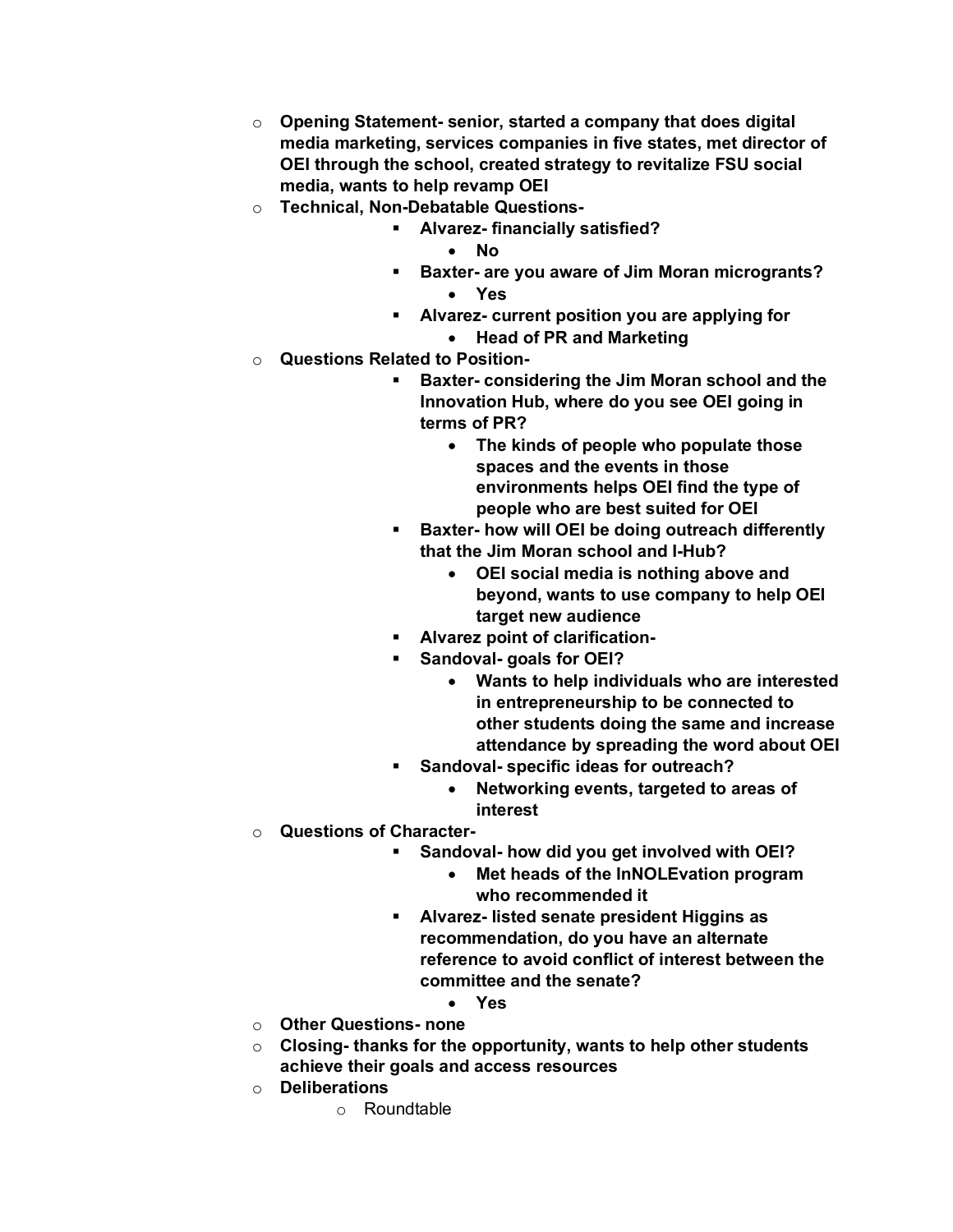- o **Opening Statement- senior, started a company that does digital media marketing, services companies in five states, met director of OEI through the school, created strategy to revitalize FSU social media, wants to help revamp OEI**
- o **Technical, Non-Debatable Questions-**
	- § **Alvarez- financially satisfied?**
		- **No**
		- § **Baxter- are you aware of Jim Moran microgrants?** • **Yes**
			-
		- § **Alvarez- current position you are applying for**
			- **Head of PR and Marketing**
- o **Questions Related to Position-**
	- § **Baxter- considering the Jim Moran school and the Innovation Hub, where do you see OEI going in terms of PR?**
		- **The kinds of people who populate those spaces and the events in those environments helps OEI find the type of people who are best suited for OEI**
	- § **Baxter- how will OEI be doing outreach differently that the Jim Moran school and I-Hub?**
		- **OEI social media is nothing above and beyond, wants to use company to help OEI target new audience**
	- § **Alvarez point of clarification-**
	- § **Sandoval- goals for OEI?**
		- **Wants to help individuals who are interested in entrepreneurship to be connected to other students doing the same and increase attendance by spreading the word about OEI**
	- § **Sandoval- specific ideas for outreach?**
		- **Networking events, targeted to areas of interest**
- o **Questions of Character-**
	- § **Sandoval- how did you get involved with OEI?**
		- **Met heads of the InNOLEvation program who recommended it**
	- § **Alvarez- listed senate president Higgins as recommendation, do you have an alternate reference to avoid conflict of interest between the committee and the senate?**
		- **Yes**
- o **Other Questions- none**
- o **Closing- thanks for the opportunity, wants to help other students achieve their goals and access resources**
- o **Deliberations**
	- o Roundtable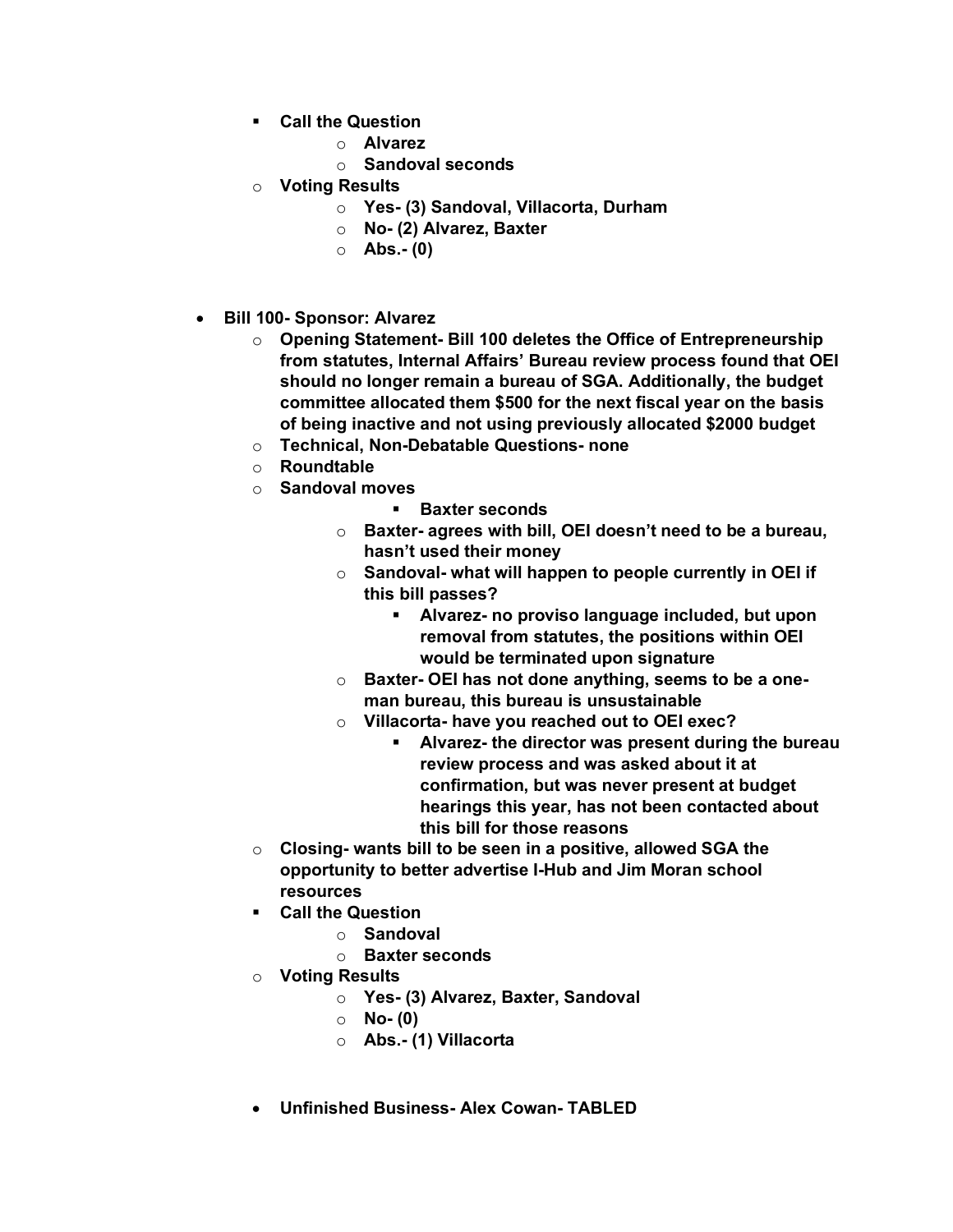- § **Call the Question**
	- o **Alvarez**
	- o **Sandoval seconds**
- o **Voting Results**
	- o **Yes- (3) Sandoval, Villacorta, Durham**
	- o **No- (2) Alvarez, Baxter**
	- o **Abs.- (0)**
- **Bill 100- Sponsor: Alvarez**
	- o **Opening Statement- Bill 100 deletes the Office of Entrepreneurship from statutes, Internal Affairs' Bureau review process found that OEI should no longer remain a bureau of SGA. Additionally, the budget committee allocated them \$500 for the next fiscal year on the basis of being inactive and not using previously allocated \$2000 budget**
	- o **Technical, Non-Debatable Questions- none**
	- o **Roundtable**
	- o **Sandoval moves**
		- § **Baxter seconds**
		- o **Baxter- agrees with bill, OEI doesn't need to be a bureau, hasn't used their money**
		- o **Sandoval- what will happen to people currently in OEI if this bill passes?**
			- § **Alvarez- no proviso language included, but upon removal from statutes, the positions within OEI would be terminated upon signature**
		- o **Baxter- OEI has not done anything, seems to be a oneman bureau, this bureau is unsustainable**
		- o **Villacorta- have you reached out to OEI exec?**
			- § **Alvarez- the director was present during the bureau review process and was asked about it at confirmation, but was never present at budget hearings this year, has not been contacted about this bill for those reasons**
	- o **Closing- wants bill to be seen in a positive, allowed SGA the opportunity to better advertise I-Hub and Jim Moran school resources**
	- § **Call the Question**
		- o **Sandoval**
		- o **Baxter seconds**
	- o **Voting Results**
		- o **Yes- (3) Alvarez, Baxter, Sandoval**
			- o **No- (0)**
			- o **Abs.- (1) Villacorta**
	- **Unfinished Business- Alex Cowan- TABLED**